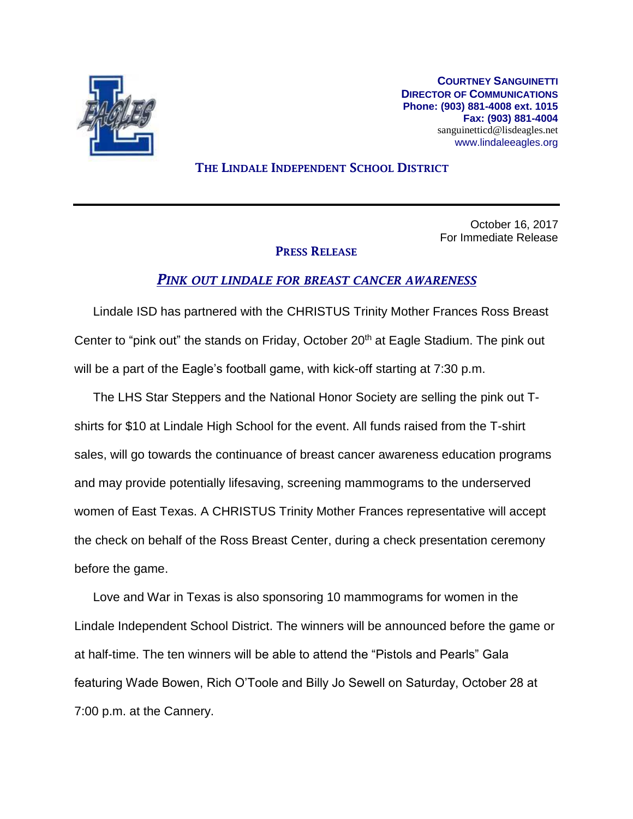

**COURTNEY SANGUINETTI DIRECTOR OF COMMUNICATIONS Phone: (903) 881-4008 ext. 1015 Fax: (903) 881-4004** sanguinetticd@lisdeagles.net www.lindaleeagles.org

## THE LINDALE INDEPENDENT SCHOOL DISTRICT

October 16, 2017 For Immediate Release

## PRESS RELEASE

## *PINK OUT LINDALE FOR BREAST CANCER AWARENESS*

Lindale ISD has partnered with the CHRISTUS Trinity Mother Frances Ross Breast Center to "pink out" the stands on Friday, October 20<sup>th</sup> at Eagle Stadium. The pink out will be a part of the Eagle's football game, with kick-off starting at 7:30 p.m.

The LHS Star Steppers and the National Honor Society are selling the pink out Tshirts for \$10 at Lindale High School for the event. All funds raised from the T-shirt sales, will go towards the continuance of breast cancer awareness education programs and may provide potentially lifesaving, screening mammograms to the underserved women of East Texas. A CHRISTUS Trinity Mother Frances representative will accept the check on behalf of the Ross Breast Center, during a check presentation ceremony before the game.

Love and War in Texas is also sponsoring 10 mammograms for women in the Lindale Independent School District. The winners will be announced before the game or at half-time. The ten winners will be able to attend the "Pistols and Pearls" Gala featuring Wade Bowen, Rich O'Toole and Billy Jo Sewell on Saturday, October 28 at 7:00 p.m. at the Cannery.